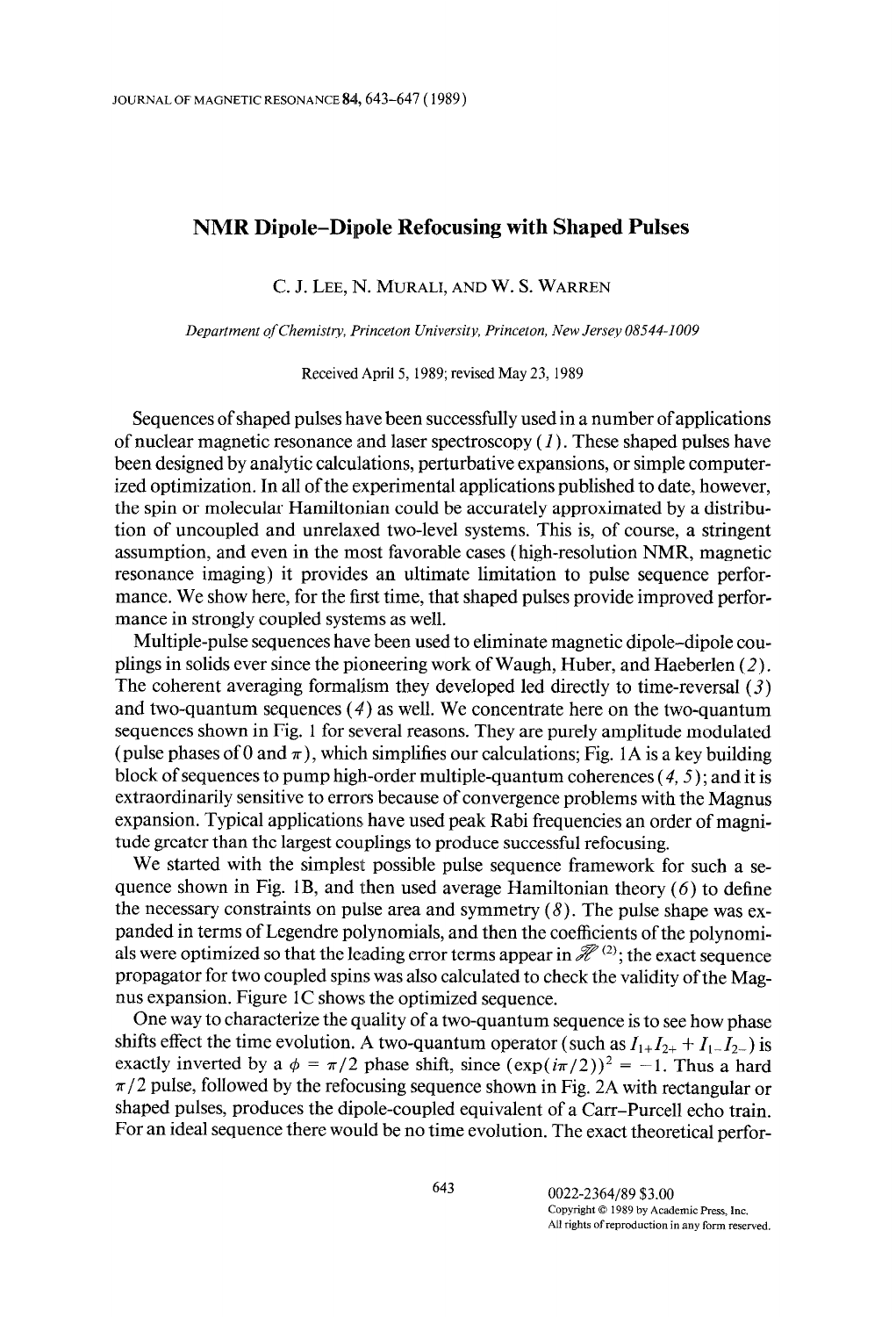## NMR Dipole-Dipole Refocusing with Shaped Pulses

C. J. LEE, N. MURALI, AND W. S. WARREN

Department of Chemistry, Princeton University, Princeton, New Jersey 08544-1009

Received April 5, 1989; revised May 23, 1989

Sequences of shaped pulses have been successfully used in a number of applications of nuclear magnetic resonance and laser spectroscopy  $(I)$ . These shaped pulses have been designed by analytic calculations, perturbative expansions, or simple computerized optimization. In all of the experimental applications published to date, however, the spin or molecular Hamiltonian could be accurately approximated by a distribution of uncoupled and unrelaxed two-level systems. This is, of course, a stringent assumption, and even in the most favorable cases (high-resolution NMR, magnetic resonance imaging) it provides an ultimate limitation to pulse sequence performance. We show here, for the first time, that shaped pulses provide improved performance in strongly coupled systems as well.

Multiple-pulse sequences have been used to eliminate magnetic dipole-dipole couplings in solids ever since the pioneering work of Waugh, Huber, and Haeberlen  $(2)$ . The coherent averaging formalism they developed led directly to time-reversal (3) and two-quantum sequences  $(4)$  as well. We concentrate here on the two-quantum sequences shown in Fig. 1 for several reasons. They are purely amplitude modulated (pulse phases of 0 and  $\pi$ ), which simplifies our calculations; Fig. 1A is a key building block of sequences to pump high-order multiple-quantum coherences  $(4,5)$ ; and it is extraordinarily sensitive to errors because of convergence problems with the Magnus expansion. Typical applications have used peak Rabi frequencies an order of magnitude greater than the largest couplings to produce successful refocusing.

We started with the simplest possible pulse sequence framework for such a sequence shown in Fig. 1B, and then used average Hamiltonian theory  $(6)$  to define the necessary constraints on pulse area and symmetry  $(8)$ . The pulse shape was expanded in terms of Legendre polynomials, and then the coefficients of the polynomials were optimized so that the leading error terms appear in  $\mathcal{H}^{(2)}$ ; the exact sequence propagator for two coupled spins was also calculated to check the validity of the Magnus expansion. Figure  $1C$  shows the optimized sequence.

One way to characterize the quality of a two-quantum sequence is to see how phase shifts effect the time evolution. A two-quantum operator (such as  $I_{1+}I_{2+} + I_{1-}I_{2-}$ ) is exactly inverted by a  $\phi = \pi/2$  phase shift, since  $(\exp(i\pi/2))^2 = -1$ . Thus a hard  $\pi/2$  pulse, followed by the refocusing sequence shown in Fig. 2A with rectangular or shaped pulses, produces the dipole-coupled equivalent of a Carr-Purcell echo train. For an ideal sequence there would be no time evolution. The exact theoretical perfor-

> 643 0022-2364189 \$3.00  $\frac{6022.2504}{69}$  by Academic Press, Inc.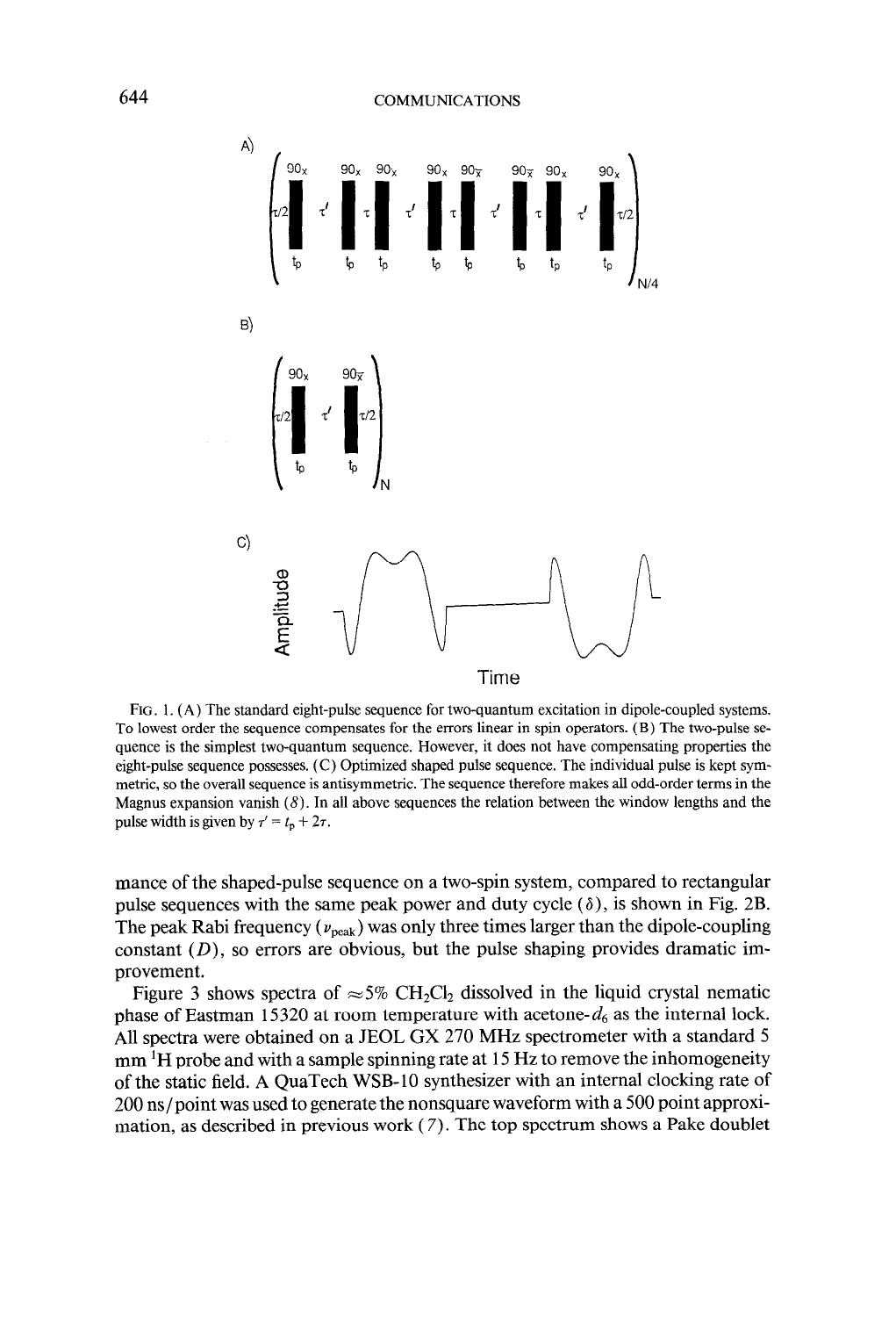

FIG. 1. (A) The standard eight-pulse sequence for two-quantum excitation in dipole-coupled systems. To lowest order the sequence compensates for the errors linear in spin operators. (B) The two-pulse sequence is the simplest two-quantum sequence. However, it does not have compensating properties the eight-pulse sequence possesses. (C) Optimized shaped pulse sequence. The individual pulse is kept symmetric, so the overall sequence is antisymmetric. The sequence therefore makes all odd-order terms in the Magnus expansion vanish  $(8)$ . In all above sequences the relation between the window lengths and the pulse width is given by  $\tau' = t_p + 2\tau$ .

mance of the shaped-pulse sequence on a two-spin system, compared to rectangular pulse sequences with the same peak power and duty cycle  $(\delta)$ , is shown in Fig. 2B. The peak Rabi frequency ( $v_{\text{peak}}$ ) was only three times larger than the dipole-coupling constant  $(D)$ , so errors are obvious, but the pulse shaping provides dramatic improvement.

Figure 3 shows spectra of  $\approx$  5% CH<sub>2</sub>Cl<sub>2</sub> dissolved in the liquid crystal nematic phase of Eastman 15320 at room temperature with acetone- $d_6$  as the internal lock. All spectra were obtained on a JEOL GX 270 MHz spectrometer with a standard 5 mm <sup>1</sup>H probe and with a sample spinning rate at 15 Hz to remove the inhomogeneity of the static field. A QuaTech WSB-10 synthesizer with an internal clocking rate of 200 ns/point was used to generate the nonsquare waveform with a 500 point approximation, as described in previous work  $(7)$ . The top spectrum shows a Pake doublet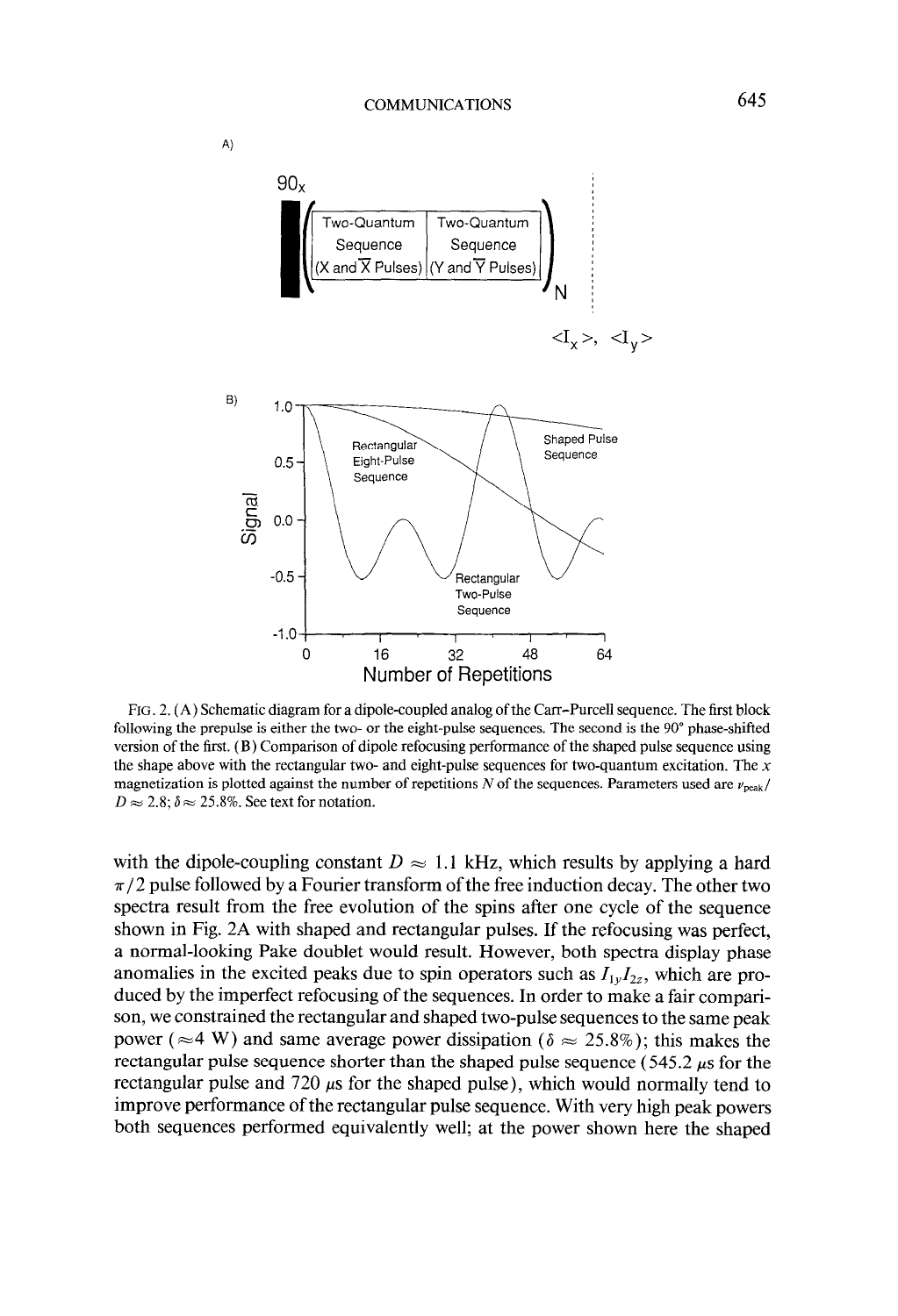

FIG. 2. (A) Schematic diagram for a dipole-coupled analog of the Carr-Purcell sequence. The first block following the prepulse is either the two- or the eight-pulse sequences. The second is the 90° phase-shifted version of the first. (B) Comparison of dipole refocusing performance of the shaped pulse sequence using the shape above with the rectangular two- and eight-pulse sequences for two-quantum excitation. The  $x$ magnetization is plotted against the number of repetitions N of the sequences. Parameters used are  $v_{\text{peak}}/v_{\text{peak}}$  $D \approx 2.8$ ;  $\delta \approx 25.8\%$ . See text for notation.

with the dipole-coupling constant  $D \approx 1.1$  kHz, which results by applying a hard  $\pi/2$  pulse followed by a Fourier transform of the free induction decay. The other two spectra result from the free evolution of the spins after one cycle of the sequence shown in Fig. 2A with shaped and rectangular pulses. If the refocusing was perfect, a normal-looking Pake doublet would result. However, both spectra display phase anomalies in the excited peaks due to spin operators such as  $I_{1y}I_{2z}$ , which are produced by the imperfect refocusing of the sequences. In order to make a fair comparison, we constrained the rectangular and shaped two-pulse sequences to the same peak power ( $\approx$ 4 W) and same average power dissipation ( $\delta \approx 25.8\%$ ); this makes the rectangular pulse sequence shorter than the shaped pulse sequence ( $545.2 \mu s$  for the rectangular pulse and 720  $\mu$ s for the shaped pulse), which would normally tend to improve performance of the rectangular pulse sequence. With very high peak powers both sequences performed equivalently well; at the power shown here the shaped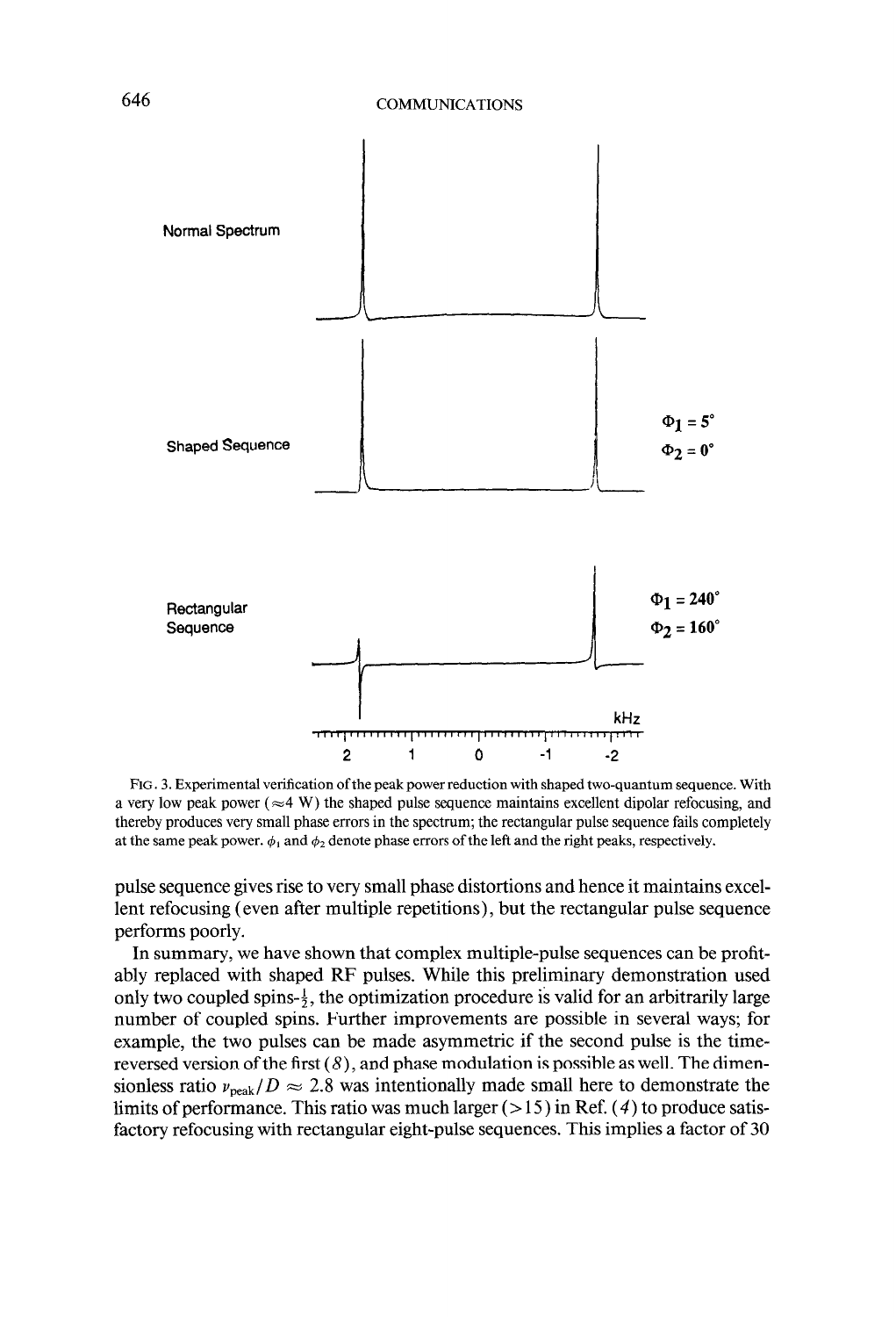

FIG. 3. Experimental verification of the peak power reduction with shaped two-quantum sequence. With a very low peak power ( $\approx$ 4 W) the shaped pulse sequence maintains excellent dipolar refocusing, and thereby produces very small phase errors in the spectrum; the rectangular pulse sequence fails completely at the same peak power.  $\phi_1$  and  $\phi_2$  denote phase errors of the left and the right peaks, respectively.

pulse sequence gives rise to very small phase distortions and hence it maintains excellent refocusing (even after multiple repetitions), but the rectangular pulse sequence performs poorly.

In summary, we have shown that complex multiple-pulse sequences can be profitably replaced with shaped RF pulses. While this preliminary demonstration used only two coupled spins- $\frac{1}{2}$ , the optimization procedure is valid for an arbitrarily large number of coupled spins. Further improvements are possible in several ways; for example, the two pulses can be made asymmetric if the second pulse is the timereversed version of the first  $(8)$ , and phase modulation is possible as well. The dimensionless ratio  $v_{\text{peak}}/D \approx 2.8$  was intentionally made small here to demonstrate the limits of performance. This ratio was much larger  $(>15)$  in Ref. (4) to produce satisfactory refocusing with rectangular eight-pulse sequences. This implies a factor of 30